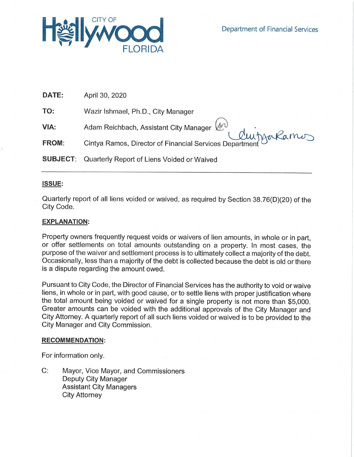

| DATE:        | April 30, 2020                                                                                        |
|--------------|-------------------------------------------------------------------------------------------------------|
| TO:          | Wazir Ishmael, Ph.D., City Manager                                                                    |
| VIA:         | Adam Reichbach, Assistant City Manager (M)<br>Cintya Ramos, Director of Financial Services Department |
| <b>FROM:</b> |                                                                                                       |
|              | <b>SUBJECT:</b> Quarterly Report of Liens Voided or Waived                                            |

## **ISSUE:**

Quarterly report of all liens voided or waived, as required by Section 38.76(D)(20) of the City Code.

# **EXPLANATION:**

Property owners frequently request voids or waivers of lien amounts, in whole or in part, or offer settlements on total amounts outstanding on a property. In most cases, the purpose of the waiver and settlement process is to ultimately collect a majority of the debt. Occasionally, less than a majority of the debt is collected because the debt is old or there is a dispute regarding the amount owed.

Pursuant to City Code, the Director of Financial Services has the authority to void or waive liens, in whole or in part, with good cause, or to settle liens with proper justification where the total amount being voided or waived for a single property is not more than \$5,000. Greater amounts can be voided with the additional approvals of the City Manager and City Attorney. A quarterly report of all such liens voided or waived is to be provided to the City Manager and City Commission.

### **RECOMMENDATION:**

For information only.

 $C:$ Mayor, Vice Mayor, and Commissioners Deputy City Manager **Assistant City Managers City Attorney**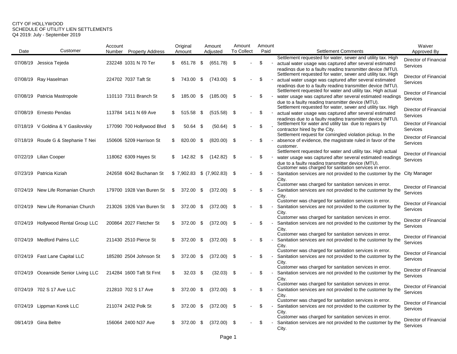#### CITY OF HOLLYWOOD SCHEDULE OF UTILITY LIEN SETTLEMENTS Q4 2019: July - September 2019

|      |                                      | Account |                           |     | Original  |      | Amount                        | Amount            |        | Amount |                                                                                                                        | Waiver                                   |
|------|--------------------------------------|---------|---------------------------|-----|-----------|------|-------------------------------|-------------------|--------|--------|------------------------------------------------------------------------------------------------------------------------|------------------------------------------|
| Date | Customer                             | Number  | <b>Property Address</b>   |     | Amount    |      | Adjusted                      | <b>To Collect</b> |        | Paid   | <b>Settlement Comments</b>                                                                                             | Approved By                              |
|      |                                      |         |                           |     |           |      |                               |                   |        |        | Settlement requested for water, sewer and utility tax. High                                                            | Director of Financial                    |
|      | 07/08/19 Jessica Tejeda              |         | 232248 1031 N 70 Ter      | \$  | 651.78    | \$   | (651.78)                      | - \$              |        | \$     | actual water usage was captured after several estimated                                                                | <b>Services</b>                          |
|      |                                      |         |                           |     |           |      |                               |                   |        |        | readings due to a faulty reading transmitter device (MTU).                                                             |                                          |
|      | 07/08/19 Ray Haselman                |         | 224702 7037 Taft St       | \$  | 743.00    | -\$  | $(743.00)$ \$                 |                   |        | \$     | Settlement requested for water, sewer and utility tax. High<br>actual water usage was captured after several estimated | Director of Financial                    |
|      |                                      |         |                           |     |           |      |                               |                   |        |        | readings due to a faulty reading transmitter device (MTU).                                                             | <b>Services</b>                          |
|      |                                      |         |                           |     |           |      |                               |                   |        |        | Settlement requested for water and utility tax. High actual                                                            |                                          |
|      | 07/08/19 Patricia Mastropole         |         | 110110 7311 Branch St     | S   | 185.00    | \$   | $(185.00)$ \$                 |                   |        | \$     | water usage was captured after several estimated readings                                                              | Director of Financial<br>Services        |
|      |                                      |         |                           |     |           |      |                               |                   |        |        | due to a faulty reading transmitter device (MTU).                                                                      |                                          |
|      |                                      |         |                           |     |           |      |                               |                   |        |        | Settlement requested for water, sewer and utility tax. High                                                            | Director of Financial                    |
|      | 07/08/19 Ernesto Pendas              |         | 113784 1411 N 69 Ave      | S.  | 515.58    | - \$ | $(515.58)$ \$                 |                   |        | \$     | actual water usage was captured after several estimated                                                                | <b>Services</b>                          |
|      |                                      |         |                           |     |           |      |                               |                   |        |        | readings due to a faulty reading transmitter device (MTU).<br>Settlement for water and utility tax due to repairs by   | Director of Financial                    |
|      | 07/18/19 V Goldina & Y Gasilovskiy   |         | 177090 700 Hollywood Blvd | \$  | 50.64     | S.   | $(50.64)$ \$                  |                   |        | \$     | contractor hired by the City.                                                                                          | Services                                 |
|      |                                      |         |                           |     |           |      |                               |                   |        |        | Settlement request for comingled violation pickup. In the                                                              |                                          |
|      | 07/18/19 Roude G & Stephanie T Nei   |         | 150606 5209 Harrison St   | \$  | 820.00    | -\$  | $(820.00)$ \$                 |                   |        | \$     | absence of evidence, the magistrate ruled in favor of the                                                              | Director of Financial                    |
|      |                                      |         |                           |     |           |      |                               |                   |        |        | customer.                                                                                                              | <b>Services</b>                          |
|      |                                      |         |                           |     |           |      |                               |                   |        |        | Settlement requested for water and utility tax. High actual                                                            | Director of Financial                    |
|      | 07/22/19 Lilian Cooper               |         | 118062 6309 Hayes St      | \$  | 142.82 \$ |      | $(142.82)$ \$                 |                   |        | \$     | water usage was captured after several estimated readings                                                              | Services                                 |
|      |                                      |         |                           |     |           |      |                               |                   |        |        | due to a faulty reading transmitter device (MTU).<br>Customer was charged for sanitation services in error.            |                                          |
|      | 07/23/19 Patricia Kiziah             |         | 242658 6042 Buchanan St   |     |           |      | $$7,902.83$ $$ (7,902.83)$ \$ |                   |        | \$     | Sanitation services are not provided to the customer by the City Manager                                               |                                          |
|      |                                      |         |                           |     |           |      |                               |                   |        |        | City.                                                                                                                  |                                          |
|      |                                      |         |                           |     |           |      |                               |                   |        |        | Customer was charged for sanitation services in error.                                                                 | Director of Financial                    |
|      | 07/24/19 New Life Romanian Church    |         | 179700 1928 Van Buren St  | \$  | 372.00    | -\$  | $(372.00)$ \$                 |                   |        | \$     | Sanitation services are not provided to the customer by the                                                            | Services                                 |
|      |                                      |         |                           |     |           |      |                               |                   |        |        | City.<br>Customer was charged for sanitation services in error.                                                        |                                          |
|      | 07/24/19 New Life Romanian Church    |         | 213026 1926 Van Buren St  | \$  | 372.00    | - \$ | $(372.00)$ \$                 |                   |        | \$     | Sanitation services are not provided to the customer by the                                                            | Director of Financial                    |
|      |                                      |         |                           |     |           |      |                               |                   |        |        | City.                                                                                                                  | Services                                 |
|      |                                      |         |                           |     |           |      |                               |                   |        |        | Customer was charged for sanitation services in error.                                                                 |                                          |
|      | 07/24/19 Hollywood Rental Group LLC  |         | 200864 2027 Fletcher St   | \$  | 372.00    | -\$  | $(372.00)$ \$                 |                   |        | \$     | Sanitation services are not provided to the customer by the                                                            | Director of Financial<br><b>Services</b> |
|      |                                      |         |                           |     |           |      |                               |                   |        |        | City.                                                                                                                  |                                          |
|      |                                      |         |                           |     |           |      |                               |                   |        |        | Customer was charged for sanitation services in error.                                                                 | Director of Financial                    |
|      | 07/24/19 Medford Palms LLC           |         | 211430 2510 Pierce St     | S   | 372.00    | -\$  | $(372.00)$ \$                 |                   |        | \$     | Sanitation services are not provided to the customer by the                                                            | Services                                 |
|      |                                      |         |                           |     |           |      |                               |                   |        |        | City.<br>Customer was charged for sanitation services in error.                                                        |                                          |
|      | 07/24/19 Fast Lane Capital LLC       |         | 185280 2504 Johnson St    | \$  | 372.00 \$ |      | $(372.00)$ \$                 |                   | $\sim$ | \$     | Sanitation services are not provided to the customer by the                                                            | Director of Financial                    |
|      |                                      |         |                           |     |           |      |                               |                   |        |        | City.                                                                                                                  | <b>Services</b>                          |
|      |                                      |         |                           |     |           |      |                               |                   |        |        | Customer was charged for sanitation services in error.                                                                 |                                          |
|      | 07/24/19 Oceanside Senior Living LLC |         | 214284 1600 Taft St Frnt  | \$  | 32.03     | - \$ | $(32.03)$ \$                  |                   |        | \$     | Sanitation services are not provided to the customer by the                                                            | Director of Financial<br>Services        |
|      |                                      |         |                           |     |           |      |                               |                   |        |        | City.                                                                                                                  |                                          |
|      |                                      |         |                           |     |           |      |                               |                   |        |        | Customer was charged for sanitation services in error.                                                                 | Director of Financial                    |
|      | 07/24/19 702 S 17 Ave LLC            |         | 212810 702 S 17 Ave       | \$  | 372.00    | -\$  | $(372.00)$ \$                 |                   |        | \$     | Sanitation services are not provided to the customer by the                                                            | Services                                 |
|      |                                      |         |                           |     |           |      |                               |                   |        |        | City.<br>Customer was charged for sanitation services in error.                                                        |                                          |
|      | 07/24/19 Lippman Korek LLC           |         | 211074 2432 Polk St       | \$  | 372.00    | - \$ | $(372.00)$ \$                 |                   |        | \$     | Sanitation services are not provided to the customer by the                                                            | Director of Financial                    |
|      |                                      |         |                           |     |           |      |                               |                   |        |        | City.                                                                                                                  | Services                                 |
|      |                                      |         |                           |     |           |      |                               |                   |        |        | Customer was charged for sanitation services in error.                                                                 |                                          |
|      | 08/14/19 Gina Beltre                 |         | 156064 2400 N37 Ave       | \$. | 372.00    | - \$ | $(372.00)$ \$                 |                   |        | \$.    | Sanitation services are not provided to the customer by the                                                            | Director of Financial                    |
|      |                                      |         |                           |     |           |      |                               |                   |        |        | City.                                                                                                                  | Services                                 |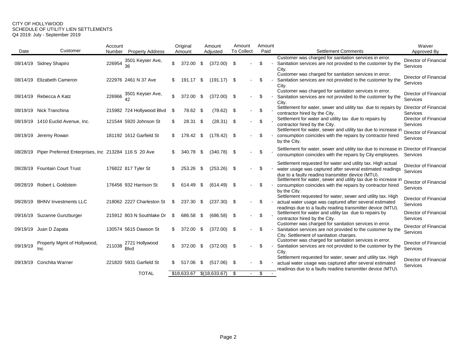#### CITY OF HOLLYWOOD SCHEDULE OF UTILITY LIEN SETTLEMENTS Q4 2019: July - September 2019

|          |                                                      | Account |                               | Original |             |      | Amount        | Amount            |        | Amount |  |                                                                                                                                                                                                                 | Waiver                                   |
|----------|------------------------------------------------------|---------|-------------------------------|----------|-------------|------|---------------|-------------------|--------|--------|--|-----------------------------------------------------------------------------------------------------------------------------------------------------------------------------------------------------------------|------------------------------------------|
| Date     | Customer                                             | Number  | <b>Property Address</b>       |          | Amount      |      | Adiusted      | <b>To Collect</b> |        | Paid   |  | <b>Settlement Comments</b>                                                                                                                                                                                      | Approved By                              |
|          | 08/14/19 Sidney Shapiro                              | 226954  | 3501 Keyser Ave,              |          | 372.00      | -\$  | (372.00)      | \$                |        | \$     |  | Customer was charged for sanitation services in error.<br>Sanitation services are not provided to the customer by the<br>Citv.                                                                                  | Director of Financial<br>Services        |
|          | 08/14/19 Elizabeth Cameron                           |         | 222976 2461 N 37 Ave          | S        | 191.17      | \$   | $(191.17)$ \$ |                   |        | \$     |  | Customer was charged for sanitation services in error.<br>Sanitation services are not provided to the customer by the<br>City.                                                                                  | Director of Financial<br>Services        |
|          | 08/14/19 Rebecca A Katz                              | 226966  | 3501 Keyser Ave,              | \$       | 372.00      | \$   | (372.00)      | -\$               |        | \$     |  | Customer was charged for sanitation services in error.<br>Sanitation services are not provided to the customer by the<br>City.                                                                                  | Director of Financial<br>Services        |
|          | 08/19/19 Nick Tranchina                              |         | 215982 724 Hollywood Blvd     | \$       | 78.62       | - \$ | (78.62)       | \$                | $\sim$ | \$     |  | Settlement for water, sewer and utility tax due to repairs by<br>contractor hired by the City.                                                                                                                  | Director of Financial<br>Services        |
|          | 08/19/19 1410 Euclid Avenue, Inc.                    |         | 121544 5920 Johnson St        | \$.      | 28.31       | -\$  | (28.31)       | -\$               |        | \$     |  | Settlement for water and utility tax due to repairs by<br>contractor hired by the City.                                                                                                                         | Director of Financial<br>Services        |
| 08/19/19 | Jeremy Rowan                                         |         | 181192 1612 Garfield St       | \$       | 178.42      | -\$  | (178.42)      | -\$               |        | \$     |  | Settlement for water, sewer and utility tax due to increase in<br>consumption coincides with the repairs by contractor hired<br>by the City.                                                                    | Director of Financial<br>Services        |
| 08/28/19 | Piper Preferred Enterprises, Inc 213284 116 S 20 Ave |         |                               | S        | 340.78      | -\$  | $(340.78)$ \$ |                   |        | \$     |  | Settlement for water, sewer and utility tax due to increase in Director of Financial<br>consumption coincides with the repairs by City employees.                                                               | Services                                 |
|          | 08/28/19 Fountain Court Trust                        |         | 176822 817 Tyler St           |          | 253.26      | \$   | (253.26)      | -\$               |        | \$     |  | Settlement requested for water and utility tax. High actual<br>water usage was captured after several estimated readings<br>due to a faulty reading transmitter device (MTU).                                   | Director of Financial<br>Services        |
|          | 08/28/19 Robert L Goldstein                          |         | 176456 932 Harrison St        | S.       | 614.49      | \$   | (614.49)      | -\$               |        | \$     |  | Settlement for water, sewer and utility tax due to increase in<br>consumption coincides with the repairs by contractor hired<br>by the City.                                                                    | Director of Financial<br>Services        |
| 08/28/19 | <b>BHNV Investments LLC</b>                          |         | 218062 2227 Charleston St     | S        | 237.30      | \$   | $(237.30)$ \$ |                   |        | \$     |  | Settlement requested for water, sewer and utility tax. High<br>actual water usage was captured after several estimated                                                                                          | <b>Director of Financial</b><br>Services |
|          | 09/16/19 Suzanne Gunzburger                          |         | 215912 803 N Southlake Dr     | S        | 686.58      | -S   | (686.58)      | -\$               |        | \$     |  | readings due to a faulty reading transmitter device (MTU).<br>Settlement for water and utility tax due to repairs by<br>contractor hired by the City.<br>Customer was charged for sanitation services in error. | Director of Financial<br>Services        |
| 09/19/19 | Juan D Zapata                                        |         | 130574 5615 Dawson St         |          | 372.00      | \$   | $(372.00)$ \$ |                   |        | \$     |  | Sanitation services are not provided to the customer by the<br>City. Settlement of sanitation charges.                                                                                                          | Director of Financial<br>Services        |
| 09/19/19 | Property Mgmt of Hollywood.<br>Inc                   | 211038  | 2721 Hollywood<br><b>Blvd</b> |          | 372.00      | \$   | (372.00)      | -\$               |        | \$     |  | Customer was charged for sanitation services in error.<br>Sanitation services are not provided to the customer by the<br>City.                                                                                  | Director of Financial<br>Services        |
| 09/19/19 | Conchita Warner                                      |         | 221820 5931 Garfield St       | S.       | 517.06      | \$   | (517.06)      | \$                |        | \$     |  | Settlement requested for water, sewer and utility tax. High<br>actual water usage was captured after several estimated<br>readings due to a faulty reading transmitter device (MTU).                            | Director of Financial<br>Services        |
|          |                                                      |         | <b>TOTAL</b>                  |          | \$18,633.67 |      | \$(18,633.67) | \$                |        | \$     |  |                                                                                                                                                                                                                 |                                          |